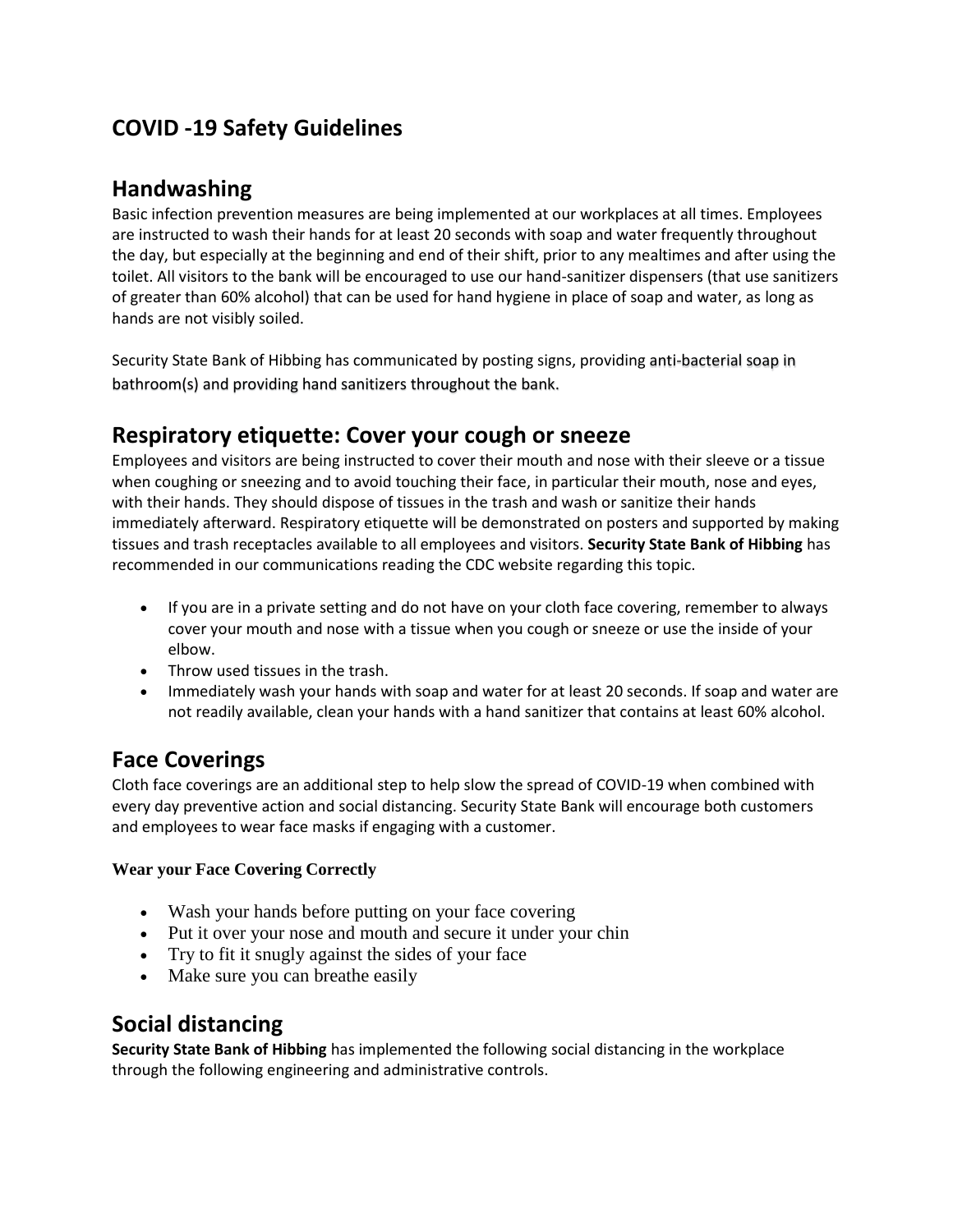# **COVID -19 Safety Guidelines**

## **Handwashing**

Basic infection prevention measures are being implemented at our workplaces at all times. Employees are instructed to wash their hands for at least 20 seconds with soap and water frequently throughout the day, but especially at the beginning and end of their shift, prior to any mealtimes and after using the toilet. All visitors to the bank will be encouraged to use our hand-sanitizer dispensers (that use sanitizers of greater than 60% alcohol) that can be used for hand hygiene in place of soap and water, as long as hands are not visibly soiled.

Security State Bank of Hibbing has communicated by posting signs, providing anti-bacterial soap in bathroom(s) and providing hand sanitizers throughout the bank.

## **Respiratory etiquette: Cover your cough or sneeze**

Employees and visitors are being instructed to cover their mouth and nose with their sleeve or a tissue when coughing or sneezing and to avoid touching their face, in particular their mouth, nose and eyes, with their hands. They should dispose of tissues in the trash and wash or sanitize their hands immediately afterward. Respiratory etiquette will be demonstrated on posters and supported by making tissues and trash receptacles available to all employees and visitors. **Security State Bank of Hibbing** has recommended in our communications reading the CDC website regarding this topic.

- If you are in a private setting and do not have on your cloth face covering, remember to always cover your mouth and nose with a tissue when you cough or sneeze or use the inside of your elbow.
- Throw used tissues in the trash.
- Immediately wash your hands with soap and water for at least 20 seconds. If soap and water are not readily available, clean your hands with a hand sanitizer that contains at least 60% alcohol.

## **Face Coverings**

Cloth face coverings are an additional step to help slow the spread of COVID-19 when combined with every day preventive action and social distancing. Security State Bank will encourage both customers and employees to wear face masks if engaging with a customer.

#### **Wear your Face Covering Correctly**

- Wash your hands before putting on your face covering
- Put it over your nose and mouth and secure it under your chin
- Try to fit it snugly against the sides of your face
- Make sure you can breathe easily

## **Social distancing**

**Security State Bank of Hibbing** has implemented the following social distancing in the workplace through the following engineering and administrative controls.